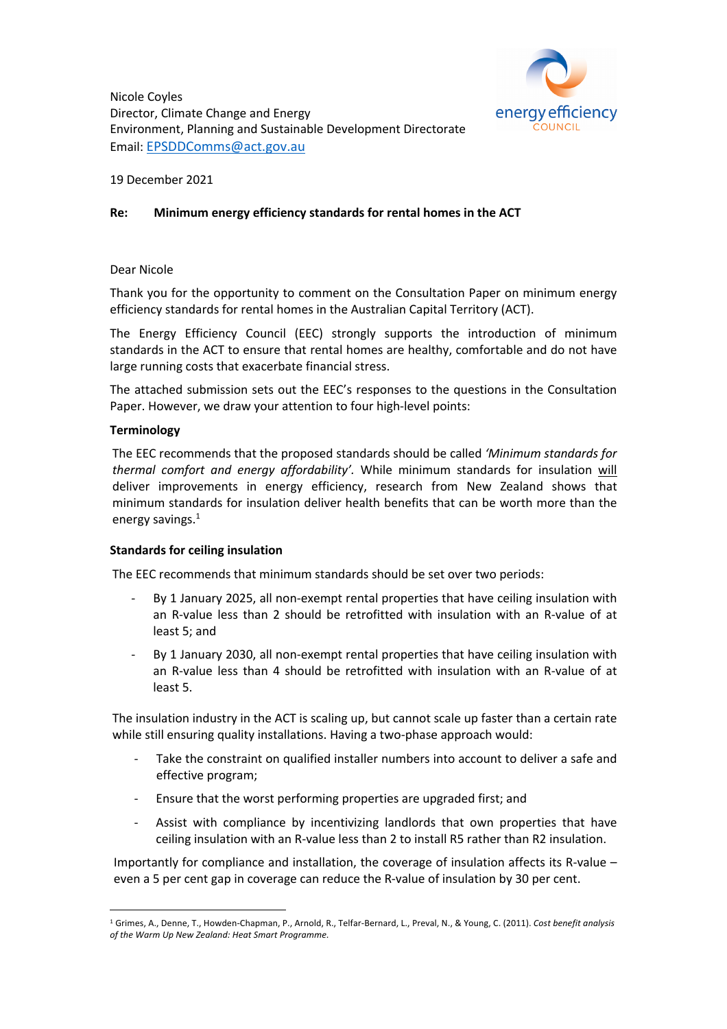

Nicole Coyles Director, Climate Change and Energy Environment, Planning and Sustainable Development Directorate Email: EPSDDComms@act.gov.au

19 December 2021

#### **Re: Minimum energy efficiency standards for rental homes in the ACT**

#### Dear Nicole

Thank you for the opportunity to comment on the Consultation Paper on minimum energy efficiency standards for rental homes in the Australian Capital Territory (ACT).

The Energy Efficiency Council (EEC) strongly supports the introduction of minimum standards in the ACT to ensure that rental homes are healthy, comfortable and do not have large running costs that exacerbate financial stress.

The attached submission sets out the EEC's responses to the questions in the Consultation Paper. However, we draw your attention to four high-level points:

#### **Terminology**

The EEC recommends that the proposed standards should be called *'Minimum standards for thermal comfort and energy affordability'.* While minimum standards for insulation will deliver improvements in energy efficiency, research from New Zealand shows that minimum standards for insulation deliver health benefits that can be worth more than the energy savings.<sup>1</sup>

#### **Standards for ceiling insulation**

The EEC recommends that minimum standards should be set over two periods:

- By 1 January 2025, all non-exempt rental properties that have ceiling insulation with an R-value less than 2 should be retrofitted with insulation with an R-value of at least 5; and
- By 1 January 2030, all non-exempt rental properties that have ceiling insulation with an R-value less than 4 should be retrofitted with insulation with an R-value of at least 5.

The insulation industry in the ACT is scaling up, but cannot scale up faster than a certain rate while still ensuring quality installations. Having a two-phase approach would:

- Take the constraint on qualified installer numbers into account to deliver a safe and effective program;
- Ensure that the worst performing properties are upgraded first; and
- Assist with compliance by incentivizing landlords that own properties that have ceiling insulation with an R-value less than 2 to install R5 rather than R2 insulation.

Importantly for compliance and installation, the coverage of insulation affects its R-value – even a 5 per cent gap in coverage can reduce the R-value of insulation by 30 per cent.

<sup>1</sup> Grimes, A., Denne, T., Howden-Chapman, P., Arnold, R., Telfar-Bernard, L., Preval, N., & Young, C. (2011). *Cost benefit analysis of the Warm Up New Zealand: Heat Smart Programme.*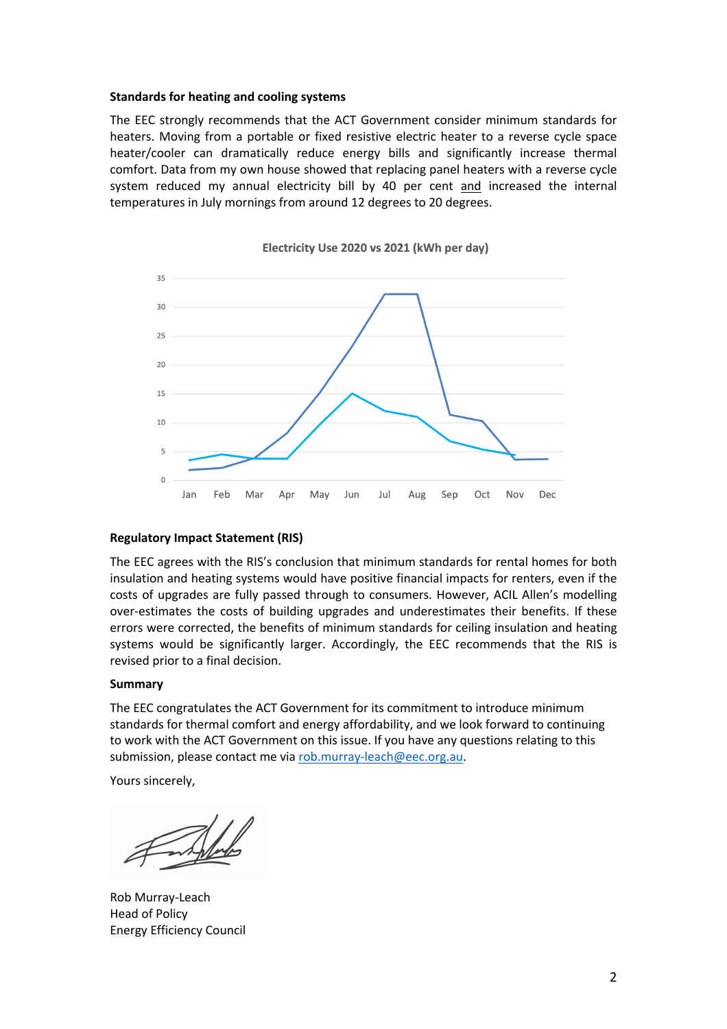#### **Standards for heating and cooling systems**

The EEC strongly recommends that the ACT Government consider minimum standards for heaters. Moving from a portable or fixed resistive electric heater to a reverse cycle space heater/cooler can dramatically reduce energy bills and significantly increase thermal comfort. Data from my own house showed that replacing panel heaters with a reverse cycle system reduced my annual electricity bill by 40 per cent and increased the internal temperatures in July mornings from around 12 degrees to 20 degrees.



# **Regulatory Impact Statement (RIS)**

The EEC agrees with the RIS's conclusion that minimum standards for rental homes for both insulation and heating systems would have positive financial impacts for renters, even if the costs of upgrades are fully passed through to consumers. However, ACIL Allen's modelling over-estimates the costs of building upgrades and underestimates their benefits. If these errors were corrected, the benefits of minimum standards for ceiling insulation and heating systems would be significantly larger. Accordingly, the EEC recommends that the RIS is revised prior to a final decision.

#### **Summary**

The EEC congratulates the ACT Government for its commitment to introduce minimum standards for thermal comfort and energy affordability, and we look forward to continuing to work with the ACT Government on this issue. If you have any questions relating to this submission, please contact me via rob.murray-leach@eec.org.au.

Yours sincerely,

Rob Murray-Leach Head of Policy Energy Efficiency Council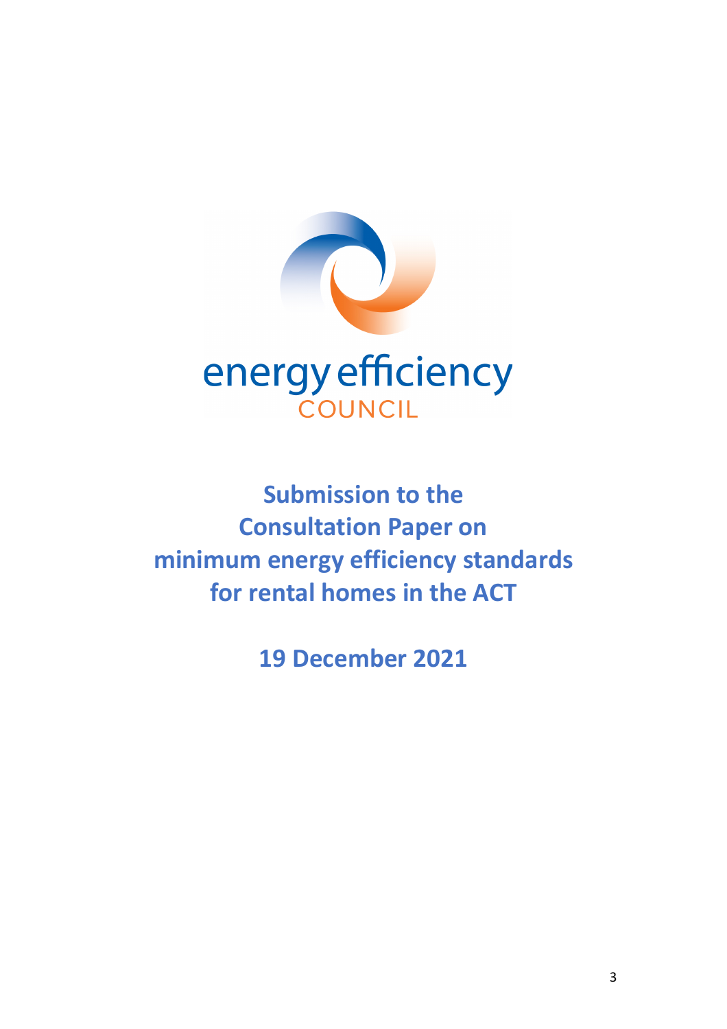

**Submission to the Consultation Paper on minimum energy efficiency standards for rental homes in the ACT**

**19 December 2021**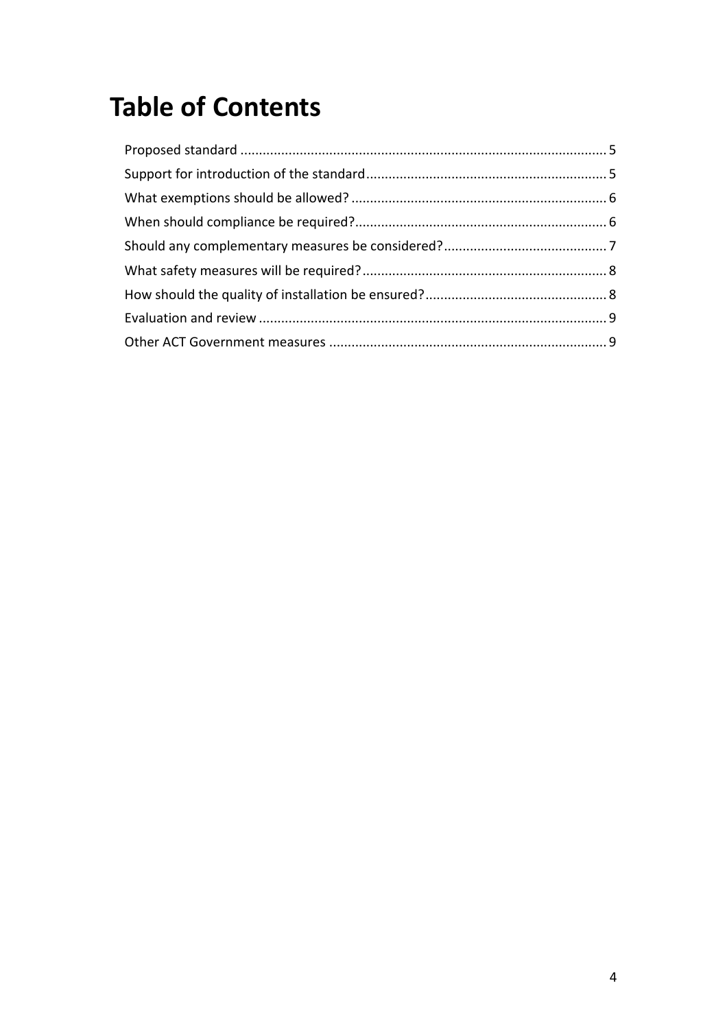# **Table of Contents**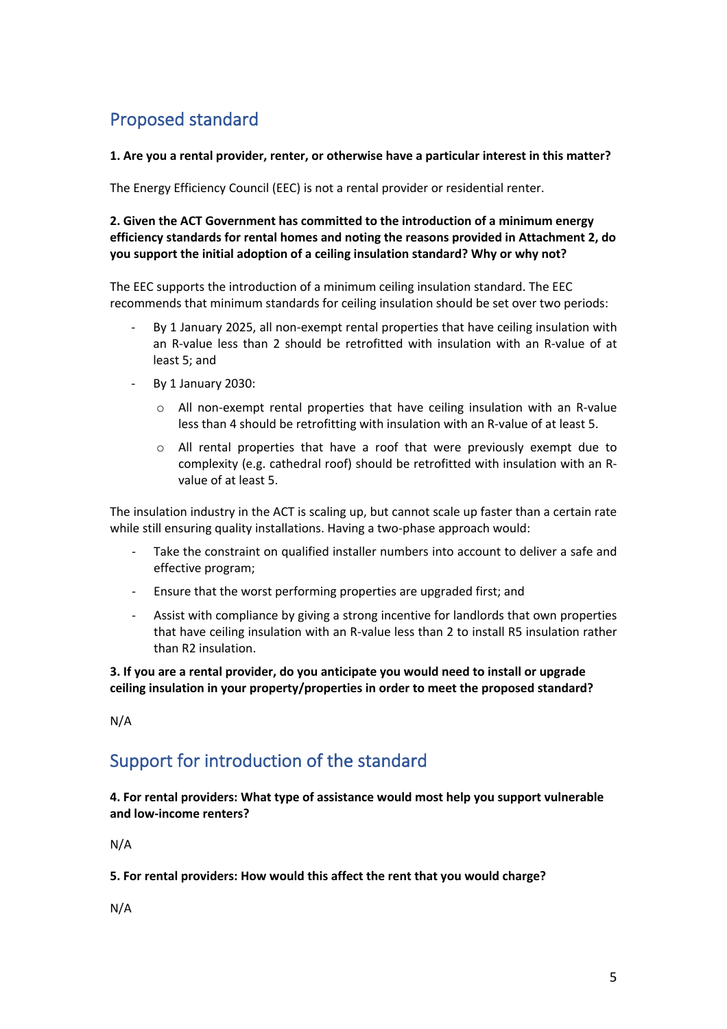# Proposed standard

**1. Are you a rental provider, renter, or otherwise have a particular interest in this matter?**

The Energy Efficiency Council (EEC) is not a rental provider or residential renter.

**2. Given the ACT Government has committed to the introduction of a minimum energy efficiency standards for rental homes and noting the reasons provided in Attachment 2, do you support the initial adoption of a ceiling insulation standard? Why or why not?**

The EEC supports the introduction of a minimum ceiling insulation standard. The EEC recommends that minimum standards for ceiling insulation should be set over two periods:

- By 1 January 2025, all non-exempt rental properties that have ceiling insulation with an R-value less than 2 should be retrofitted with insulation with an R-value of at least 5; and
- By 1 January 2030:
	- o All non-exempt rental properties that have ceiling insulation with an R-value less than 4 should be retrofitting with insulation with an R-value of at least 5.
	- $\circ$  All rental properties that have a roof that were previously exempt due to complexity (e.g. cathedral roof) should be retrofitted with insulation with an Rvalue of at least 5.

The insulation industry in the ACT is scaling up, but cannot scale up faster than a certain rate while still ensuring quality installations. Having a two-phase approach would:

- Take the constraint on qualified installer numbers into account to deliver a safe and effective program;
- Ensure that the worst performing properties are upgraded first; and
- Assist with compliance by giving a strong incentive for landlords that own properties that have ceiling insulation with an R-value less than 2 to install R5 insulation rather than R2 insulation.

**3. If you are a rental provider, do you anticipate you would need to install or upgrade ceiling insulation in your property/properties in order to meet the proposed standard?**

N/A

### Support for introduction of the standard

**4. For rental providers: What type of assistance would most help you support vulnerable and low-income renters?**

N/A

**5. For rental providers: How would this affect the rent that you would charge?**

N/A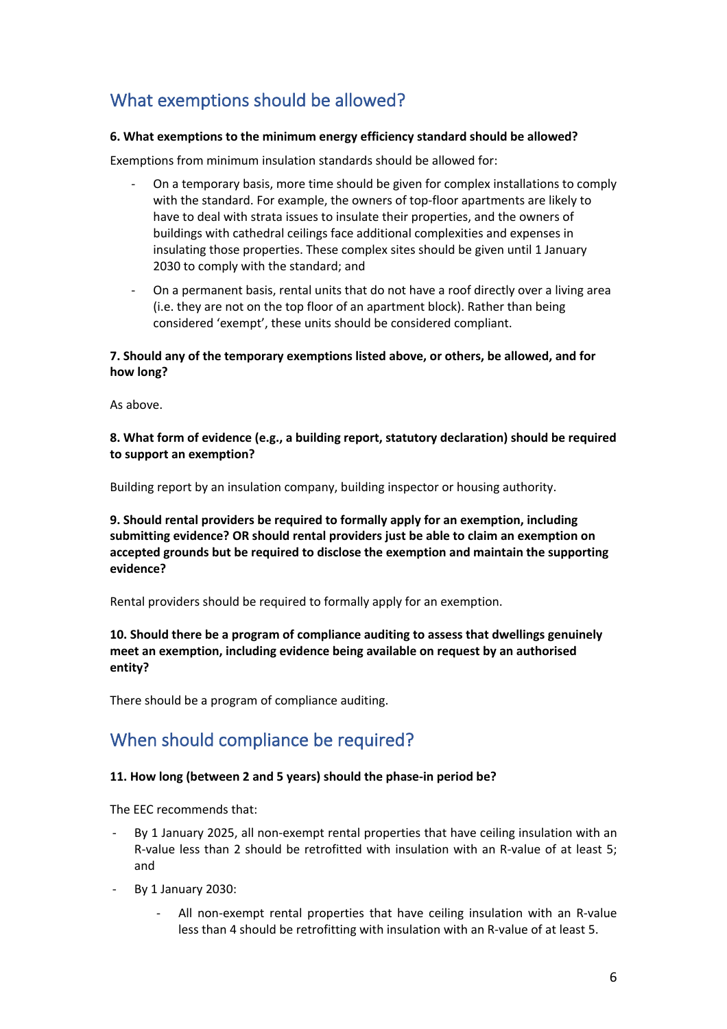# What exemptions should be allowed?

#### **6. What exemptions to the minimum energy efficiency standard should be allowed?**

Exemptions from minimum insulation standards should be allowed for:

- On a temporary basis, more time should be given for complex installations to comply with the standard. For example, the owners of top-floor apartments are likely to have to deal with strata issues to insulate their properties, and the owners of buildings with cathedral ceilings face additional complexities and expenses in insulating those properties. These complex sites should be given until 1 January 2030 to comply with the standard; and
- On a permanent basis, rental units that do not have a roof directly over a living area (i.e. they are not on the top floor of an apartment block). Rather than being considered 'exempt', these units should be considered compliant.

#### **7. Should any of the temporary exemptions listed above, or others, be allowed, and for how long?**

As above.

#### **8. What form of evidence (e.g., a building report, statutory declaration) should be required to support an exemption?**

Building report by an insulation company, building inspector or housing authority.

**9. Should rental providers be required to formally apply for an exemption, including submitting evidence? OR should rental providers just be able to claim an exemption on accepted grounds but be required to disclose the exemption and maintain the supporting evidence?**

Rental providers should be required to formally apply for an exemption.

**10. Should there be a program of compliance auditing to assess that dwellings genuinely meet an exemption, including evidence being available on request by an authorised entity?**

There should be a program of compliance auditing.

### When should compliance be required?

#### **11. How long (between 2 and 5 years) should the phase-in period be?**

The EEC recommends that:

- By 1 January 2025, all non-exempt rental properties that have ceiling insulation with an R-value less than 2 should be retrofitted with insulation with an R-value of at least 5; and
- By 1 January 2030:
	- All non-exempt rental properties that have ceiling insulation with an R-value less than 4 should be retrofitting with insulation with an R-value of at least 5.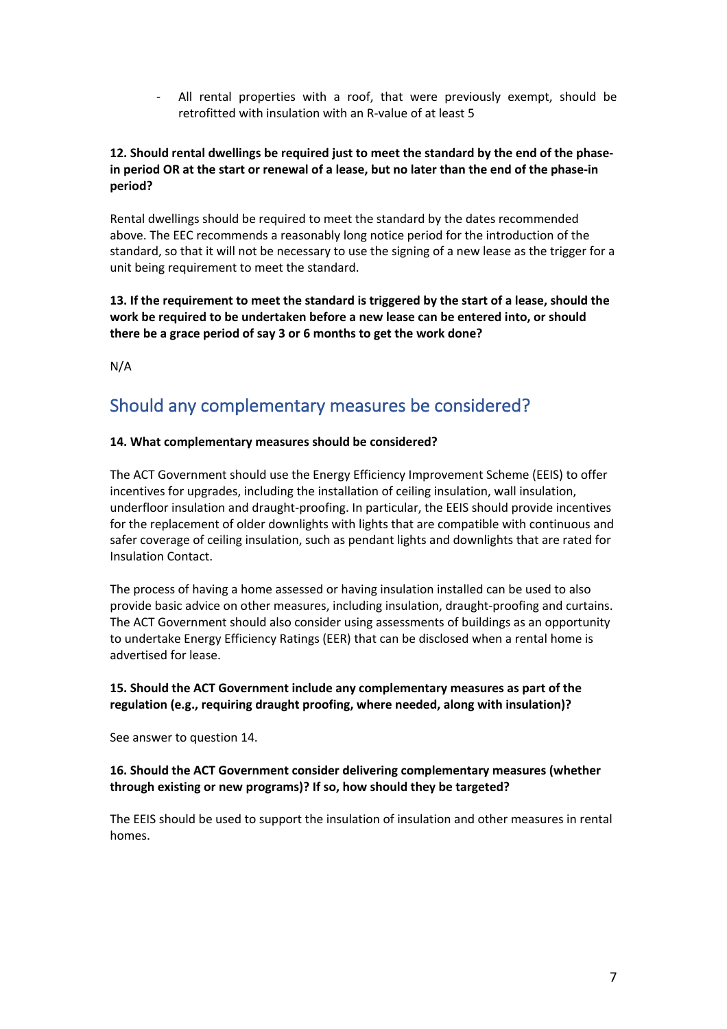All rental properties with a roof, that were previously exempt, should be retrofitted with insulation with an R-value of at least 5

#### **12. Should rental dwellings be required just to meet the standard by the end of the phasein period OR at the start or renewal of a lease, but no later than the end of the phase-in period?**

Rental dwellings should be required to meet the standard by the dates recommended above. The EEC recommends a reasonably long notice period for the introduction of the standard, so that it will not be necessary to use the signing of a new lease as the trigger for a unit being requirement to meet the standard.

**13. If the requirement to meet the standard is triggered by the start of a lease, should the work be required to be undertaken before a new lease can be entered into, or should there be a grace period of say 3 or 6 months to get the work done?**

N/A

### Should any complementary measures be considered?

#### **14. What complementary measures should be considered?**

The ACT Government should use the Energy Efficiency Improvement Scheme (EEIS) to offer incentives for upgrades, including the installation of ceiling insulation, wall insulation, underfloor insulation and draught-proofing. In particular, the EEIS should provide incentives for the replacement of older downlights with lights that are compatible with continuous and safer coverage of ceiling insulation, such as pendant lights and downlights that are rated for Insulation Contact.

The process of having a home assessed or having insulation installed can be used to also provide basic advice on other measures, including insulation, draught-proofing and curtains. The ACT Government should also consider using assessments of buildings as an opportunity to undertake Energy Efficiency Ratings (EER) that can be disclosed when a rental home is advertised for lease.

#### **15. Should the ACT Government include any complementary measures as part of the regulation (e.g., requiring draught proofing, where needed, along with insulation)?**

See answer to question 14.

#### **16. Should the ACT Government consider delivering complementary measures (whether through existing or new programs)? If so, how should they be targeted?**

The EEIS should be used to support the insulation of insulation and other measures in rental homes.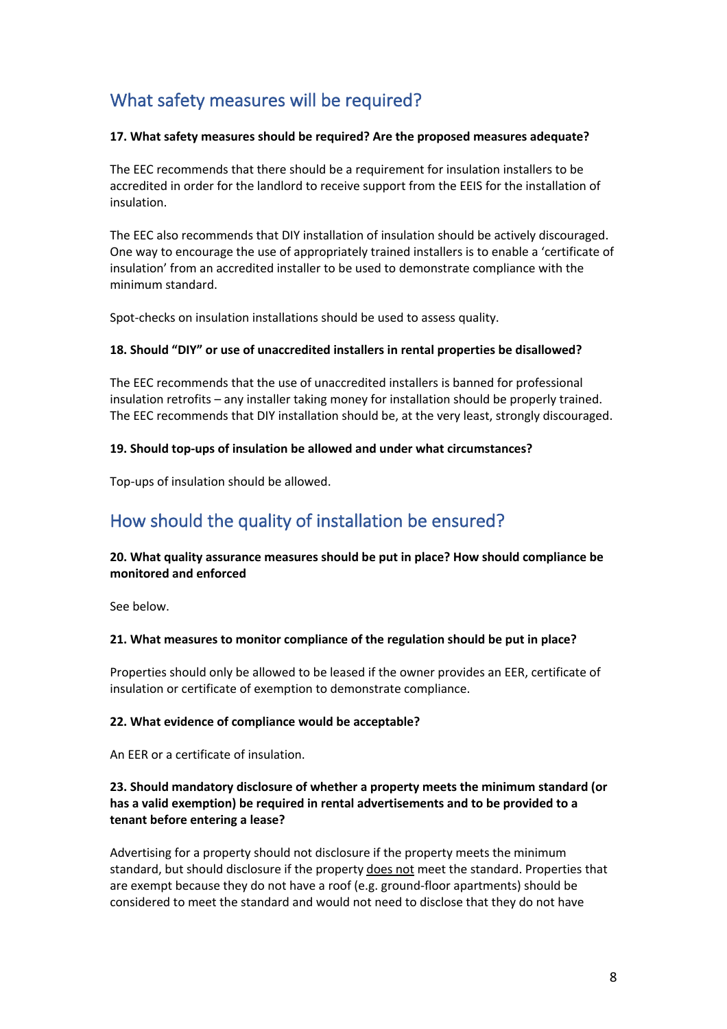## What safety measures will be required?

#### **17. What safety measures should be required? Are the proposed measures adequate?**

The EEC recommends that there should be a requirement for insulation installers to be accredited in order for the landlord to receive support from the EEIS for the installation of insulation.

The EEC also recommends that DIY installation of insulation should be actively discouraged. One way to encourage the use of appropriately trained installers is to enable a 'certificate of insulation' from an accredited installer to be used to demonstrate compliance with the minimum standard.

Spot-checks on insulation installations should be used to assess quality.

#### **18. Should "DIY" or use of unaccredited installers in rental properties be disallowed?**

The EEC recommends that the use of unaccredited installers is banned for professional insulation retrofits – any installer taking money for installation should be properly trained. The EEC recommends that DIY installation should be, at the very least, strongly discouraged.

#### **19. Should top-ups of insulation be allowed and under what circumstances?**

Top-ups of insulation should be allowed.

# How should the quality of installation be ensured?

#### **20. What quality assurance measures should be put in place? How should compliance be monitored and enforced**

See below.

#### **21. What measures to monitor compliance of the regulation should be put in place?**

Properties should only be allowed to be leased if the owner provides an EER, certificate of insulation or certificate of exemption to demonstrate compliance.

#### **22. What evidence of compliance would be acceptable?**

An EER or a certificate of insulation.

#### **23. Should mandatory disclosure of whether a property meets the minimum standard (or has a valid exemption) be required in rental advertisements and to be provided to a tenant before entering a lease?**

Advertising for a property should not disclosure if the property meets the minimum standard, but should disclosure if the property does not meet the standard. Properties that are exempt because they do not have a roof (e.g. ground-floor apartments) should be considered to meet the standard and would not need to disclose that they do not have